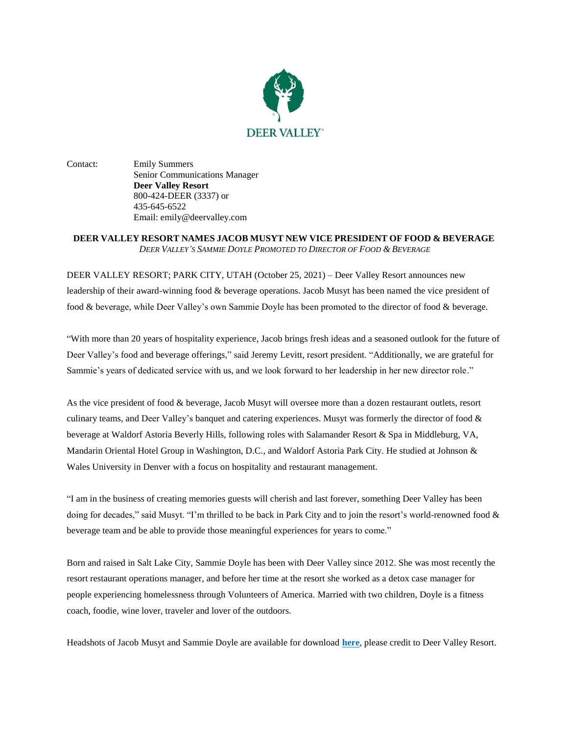

Contact: Emily Summers Senior Communications Manager **Deer Valley Resort** 800-424-DEER (3337) or 435-645-6522 Email: emily@deervalley.com

## **DEER VALLEY RESORT NAMES JACOB MUSYT NEW VICE PRESIDENT OF FOOD & BEVERAGE** *DEER VALLEY'S SAMMIE DOYLE PROMOTED TO DIRECTOR OF FOOD & BEVERAGE*

DEER VALLEY RESORT; PARK CITY, UTAH (October 25, 2021) – Deer Valley Resort announces new leadership of their award-winning food & beverage operations. Jacob Musyt has been named the vice president of food & beverage, while Deer Valley's own Sammie Doyle has been promoted to the director of food & beverage.

"With more than 20 years of hospitality experience, Jacob brings fresh ideas and a seasoned outlook for the future of Deer Valley's food and beverage offerings," said Jeremy Levitt, resort president. "Additionally, we are grateful for Sammie's years of dedicated service with us, and we look forward to her leadership in her new director role."

As the vice president of food & beverage, Jacob Musyt will oversee more than a dozen restaurant outlets, resort culinary teams, and Deer Valley's banquet and catering experiences. Musyt was formerly the director of food & beverage at Waldorf Astoria Beverly Hills, following roles with Salamander Resort & Spa in Middleburg, VA, Mandarin Oriental Hotel Group in Washington, D.C., and Waldorf Astoria Park City. He studied at Johnson & Wales University in Denver with a focus on hospitality and restaurant management.

"I am in the business of creating memories guests will cherish and last forever, something Deer Valley has been doing for decades," said Musyt. "I'm thrilled to be back in Park City and to join the resort's world-renowned food & beverage team and be able to provide those meaningful experiences for years to come."

Born and raised in Salt Lake City, Sammie Doyle has been with Deer Valley since 2012. She was most recently the resort restaurant operations manager, and before her time at the resort she worked as a detox case manager for people experiencing homelessness through Volunteers of America. Married with two children, Doyle is a fitness coach, foodie, wine lover, traveler and lover of the outdoors.

Headshots of Jacob Musyt and Sammie Doyle are available for download **[here](https://assets.alterramtnco.com/c/uodvdn7f)**, please credit to Deer Valley Resort.